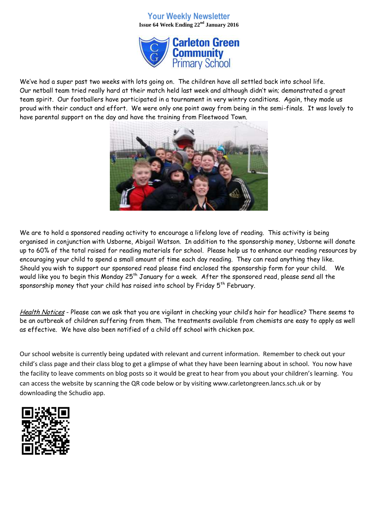## **Your Weekly Newsletter Issue 64 Week Ending 22nd January 2016**



We've had a super past two weeks with lots going on. The children have all settled back into school life. Our netball team tried really hard at their match held last week and although didn't win; demonstrated a great team spirit. Our footballers have participated in a tournament in very wintry conditions. Again, they made us proud with their conduct and effort. We were only one point away from being in the semi-finals. It was lovely to have parental support on the day and have the training from Fleetwood Town.



We are to hold a sponsored reading activity to encourage a lifelong love of reading. This activity is being organised in conjunction with Usborne, Abigail Watson. In addition to the sponsorship money, Usborne will donate up to 60% of the total raised for reading materials for school. Please help us to enhance our reading resources by encouraging your child to spend a small amount of time each day reading. They can read anything they like. Should you wish to support our sponsored read please find enclosed the sponsorship form for your child. We would like you to begin this Monday 25<sup>th</sup> January for a week. After the sponsored read, please send all the sponsorship money that your child has raised into school by Friday  $5^{th}$  February.

Health Notices - Please can we ask that you are vigilant in checking your child's hair for headlice? There seems to be an outbreak of children suffering from them. The treatments available from chemists are easy to apply as well as effective. We have also been notified of a child off school with chicken pox.

Our school website is currently being updated with relevant and current information. Remember to check out your child's class page and their class blog to get a glimpse of what they have been learning about in school. You now have the facility to leave comments on blog posts so it would be great to hear from you about your children's learning. You can access the website by scanning the QR code below or by visiting www.carletongreen.lancs.sch.uk or by downloading the Schudio app.